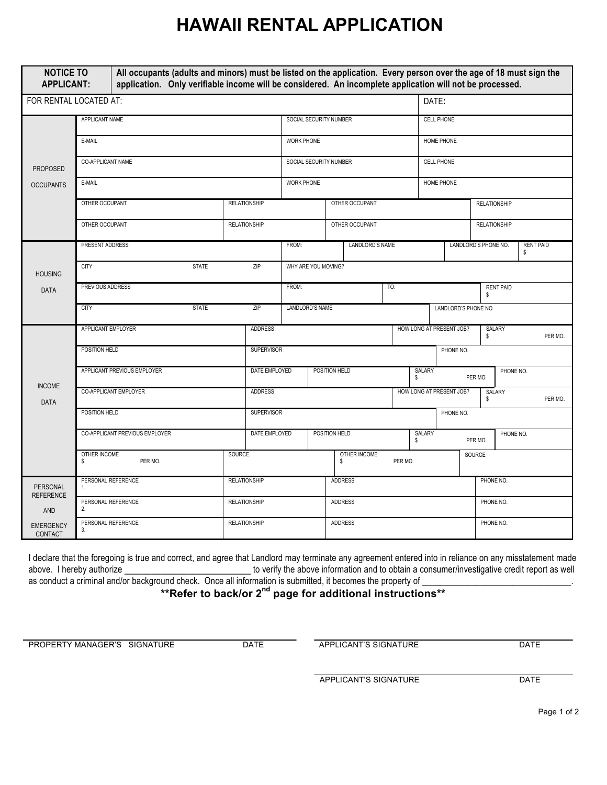## **HAWAII RENTAL APPLICATION**

| <b>NOTICE TO</b><br><b>APPLICANT:</b>      |                                      | All occupants (adults and minors) must be listed on the application. Every person over the age of 18 must sign the<br>application. Only verifiable income will be considered. An incomplete application will not be processed. |  |                     |                     |                        |                 |                              |       |                                                 |                          |                     |                        |                      |           |                        |         |
|--------------------------------------------|--------------------------------------|--------------------------------------------------------------------------------------------------------------------------------------------------------------------------------------------------------------------------------|--|---------------------|---------------------|------------------------|-----------------|------------------------------|-------|-------------------------------------------------|--------------------------|---------------------|------------------------|----------------------|-----------|------------------------|---------|
| FOR RENTAL LOCATED AT:                     |                                      |                                                                                                                                                                                                                                |  |                     |                     |                        |                 |                              | DATE: |                                                 |                          |                     |                        |                      |           |                        |         |
| <b>PROPOSED</b><br><b>OCCUPANTS</b>        | APPLICANT NAME                       |                                                                                                                                                                                                                                |  |                     |                     | SOCIAL SECURITY NUMBER |                 |                              |       |                                                 | <b>CELL PHONE</b>        |                     |                        |                      |           |                        |         |
|                                            | E-MAIL                               |                                                                                                                                                                                                                                |  |                     |                     | <b>WORK PHONE</b>      |                 |                              |       |                                                 | HOME PHONE               |                     |                        |                      |           |                        |         |
|                                            | CO-APPLICANT NAME                    |                                                                                                                                                                                                                                |  |                     |                     | SOCIAL SECURITY NUMBER |                 |                              |       |                                                 | <b>CELL PHONE</b>        |                     |                        |                      |           |                        |         |
|                                            | E-MAIL                               |                                                                                                                                                                                                                                |  |                     |                     | <b>WORK PHONE</b>      |                 |                              |       |                                                 | HOME PHONE               |                     |                        |                      |           |                        |         |
|                                            | OTHER OCCUPANT                       |                                                                                                                                                                                                                                |  |                     | <b>RELATIONSHIP</b> |                        | OTHER OCCUPANT  |                              |       |                                                 |                          |                     |                        | <b>RELATIONSHIP</b>  |           |                        |         |
|                                            | OTHER OCCUPANT                       |                                                                                                                                                                                                                                |  | <b>RELATIONSHIP</b> |                     | OTHER OCCUPANT         |                 |                              |       |                                                 |                          | <b>RELATIONSHIP</b> |                        |                      |           |                        |         |
| <b>HOUSING</b><br><b>DATA</b>              | PRESENT ADDRESS                      |                                                                                                                                                                                                                                |  |                     |                     | FROM:                  |                 |                              |       | LANDLORD'S NAME                                 |                          |                     |                        | LANDLORD'S PHONE NO. |           | <b>RENT PAID</b><br>\$ |         |
|                                            | <b>STATE</b><br><b>CITY</b>          |                                                                                                                                                                                                                                |  |                     | ZIP                 | WHY ARE YOU MOVING?    |                 |                              |       |                                                 |                          |                     |                        |                      |           |                        |         |
|                                            | PREVIOUS ADDRESS                     |                                                                                                                                                                                                                                |  |                     | FROM:               |                        |                 | TO:                          |       |                                                 |                          |                     | <b>RENT PAID</b><br>\$ |                      |           |                        |         |
|                                            | <b>CITY</b><br><b>STATE</b>          |                                                                                                                                                                                                                                |  |                     | ZIP                 |                        | LANDLORD'S NAME |                              |       |                                                 | LANDLORD'S PHONE NO.     |                     |                        |                      |           |                        |         |
| <b>INCOME</b><br><b>DATA</b>               | APPLICANT EMPLOYER                   |                                                                                                                                                                                                                                |  |                     | <b>ADDRESS</b>      |                        |                 |                              |       |                                                 | HOW LONG AT PRESENT JOB? |                     |                        | SALARY<br>\$         |           |                        | PER MO. |
|                                            | POSITION HELD                        |                                                                                                                                                                                                                                |  |                     | <b>SUPERVISOR</b>   |                        |                 |                              |       | PHONE NO.                                       |                          |                     |                        |                      |           |                        |         |
|                                            | APPLICANT PREVIOUS EMPLOYER          |                                                                                                                                                                                                                                |  |                     | DATE EMPLOYED       |                        | POSITION HELD   |                              |       | s                                               | <b>SALARY</b>            |                     | PHONE NO.<br>PER MO.   |                      |           |                        |         |
|                                            | CO-APPLICANT EMPLOYER                |                                                                                                                                                                                                                                |  |                     | <b>ADDRESS</b>      |                        |                 |                              |       | HOW LONG AT PRESENT JOB?<br><b>SALARY</b><br>\$ |                          |                     | PER MO.                |                      |           |                        |         |
|                                            | POSITION HELD                        |                                                                                                                                                                                                                                |  |                     |                     | <b>SUPERVISOR</b>      |                 |                              |       |                                                 | PHONE NO.                |                     |                        |                      |           |                        |         |
|                                            | CO-APPLICANT PREVIOUS EMPLOYER       |                                                                                                                                                                                                                                |  |                     | DATE EMPLOYED       |                        |                 | POSITION HELD                |       |                                                 | SALARY<br>\$             |                     |                        | PER MO.              | PHONE NO. |                        |         |
|                                            | OTHER INCOME<br>PER MO.<br>s.        |                                                                                                                                                                                                                                |  | SOURCE.             |                     |                        |                 | OTHER INCOME<br>PER MO.<br>S |       |                                                 |                          |                     | SOURCE                 |                      |           |                        |         |
| PERSONAL<br><b>REFERENCE</b><br><b>AND</b> | PERSONAL REFERENCE<br>1 <sub>1</sub> |                                                                                                                                                                                                                                |  |                     | <b>RELATIONSHIP</b> |                        |                 | <b>ADDRESS</b>               |       |                                                 |                          |                     | PHONE NO.              |                      |           |                        |         |
|                                            | PERSONAL REFERENCE<br>2.             |                                                                                                                                                                                                                                |  |                     | <b>RELATIONSHIP</b> |                        |                 | <b>ADDRESS</b>               |       |                                                 |                          |                     |                        |                      | PHONE NO. |                        |         |
| <b>EMERGENCY</b><br>CONTACT                | PERSONAL REFERENCE<br>3.             |                                                                                                                                                                                                                                |  |                     | <b>RELATIONSHIP</b> |                        |                 | <b>ADDRESS</b>               |       |                                                 |                          | PHONE NO.           |                        |                      |           |                        |         |

I declare that the foregoing is true and correct, and agree that Landlord may terminate any agreement entered into in reliance on any misstatement made above. I hereby authorize \_\_\_\_\_\_\_\_\_\_\_\_\_\_\_\_\_\_\_\_\_\_\_\_\_\_\_\_ to verify the above information and to obtain a consumer/investigative credit report as well as conduct a criminal and/or background check. Once all information is submitted, it becomes the property of \_\_\_\_\_\_\_\_\_\_\_\_\_\_\_\_\_\_\_\_\_\_\_\_\_\_

## **\*\*Refer to back/or 2nd page for additional instructions\*\***

PROPERTY MANAGER'S SIGNATURE DATE DATE APPLICANT'S SIGNATURE DATE

APPLICANT'S SIGNATURE DATE